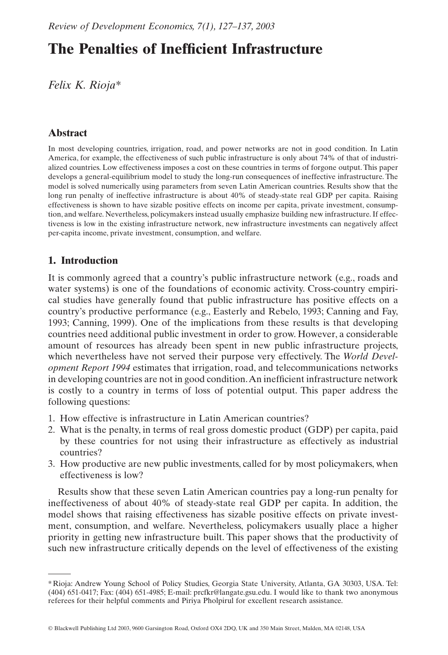# **The Penalties of Inefficient Infrastructure**

*Felix K. Rioja\**

# **Abstract**

In most developing countries, irrigation, road, and power networks are not in good condition. In Latin America, for example, the effectiveness of such public infrastructure is only about 74% of that of industrialized countries. Low effectiveness imposes a cost on these countries in terms of forgone output. This paper develops a general-equilibrium model to study the long-run consequences of ineffective infrastructure. The model is solved numerically using parameters from seven Latin American countries. Results show that the long run penalty of ineffective infrastructure is about 40% of steady-state real GDP per capita. Raising effectiveness is shown to have sizable positive effects on income per capita, private investment, consumption, and welfare. Nevertheless, policymakers instead usually emphasize building new infrastructure. If effectiveness is low in the existing infrastructure network, new infrastructure investments can negatively affect per-capita income, private investment, consumption, and welfare.

# **1. Introduction**

It is commonly agreed that a country's public infrastructure network (e.g., roads and water systems) is one of the foundations of economic activity. Cross-country empirical studies have generally found that public infrastructure has positive effects on a country's productive performance (e.g., Easterly and Rebelo, 1993; Canning and Fay, 1993; Canning, 1999). One of the implications from these results is that developing countries need additional public investment in order to grow. However, a considerable amount of resources has already been spent in new public infrastructure projects, which nevertheless have not served their purpose very effectively. The *World Development Report 1994* estimates that irrigation, road, and telecommunications networks in developing countries are not in good condition.An inefficient infrastructure network is costly to a country in terms of loss of potential output. This paper address the following questions:

- 1. How effective is infrastructure in Latin American countries?
- 2. What is the penalty, in terms of real gross domestic product (GDP) per capita, paid by these countries for not using their infrastructure as effectively as industrial countries?
- 3. How productive are new public investments, called for by most policymakers, when effectiveness is low?

Results show that these seven Latin American countries pay a long-run penalty for ineffectiveness of about 40% of steady-state real GDP per capita. In addition, the model shows that raising effectiveness has sizable positive effects on private investment, consumption, and welfare. Nevertheless, policymakers usually place a higher priority in getting new infrastructure built. This paper shows that the productivity of such new infrastructure critically depends on the level of effectiveness of the existing

<sup>\*</sup> Rioja: Andrew Young School of Policy Studies, Georgia State University, Atlanta, GA 30303, USA. Tel: (404) 651-0417; Fax: (404) 651-4985; E-mail: prcfkr@langate.gsu.edu. I would like to thank two anonymous referees for their helpful comments and Piriya Pholpirul for excellent research assistance.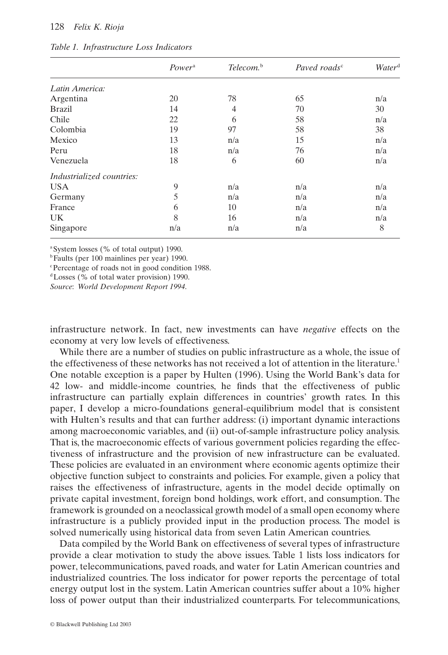#### 128 *Felix K. Rioja*

|                           | Power <sup>a</sup> | Telecom. <sup>b</sup> | Paved roads <sup>c</sup> | Water <sup>d</sup> |
|---------------------------|--------------------|-----------------------|--------------------------|--------------------|
| Latin America:            |                    |                       |                          |                    |
| Argentina                 | 20                 | 78                    | 65                       | n/a                |
| <b>Brazil</b>             | 14                 | 4                     | 70                       | 30                 |
| Chile                     | 22                 | 6                     | 58                       | n/a                |
| Colombia                  | 19                 | 97                    | 58                       | 38                 |
| Mexico                    | 13                 | n/a                   | 15                       | n/a                |
| Peru                      | 18                 | n/a                   | 76                       | n/a                |
| Venezuela                 | 18                 | 6                     | 60                       | n/a                |
| Industrialized countries: |                    |                       |                          |                    |
| <b>USA</b>                | 9                  | n/a                   | n/a                      | n/a                |
| Germany                   | 5                  | n/a                   | n/a                      | n/a                |
| France                    | 6                  | 10                    | n/a                      | n/a                |
| <b>UK</b>                 | 8                  | 16                    | n/a                      | n/a                |
| Singapore                 | n/a                | n/a                   | n/a                      | 8                  |

#### *Table 1. Infrastructure Loss Indicators*

<sup>a</sup>System losses (% of total output) 1990.

<sup>b</sup>Faults (per 100 mainlines per year) 1990.

c Percentage of roads not in good condition 1988.

dLosses (% of total water provision) 1990.

*Source*: *World Development Report 1994*.

infrastructure network. In fact, new investments can have *negative* effects on the economy at very low levels of effectiveness.

While there are a number of studies on public infrastructure as a whole, the issue of the effectiveness of these networks has not received a lot of attention in the literature.1 One notable exception is a paper by Hulten (1996). Using the World Bank's data for 42 low- and middle-income countries, he finds that the effectiveness of public infrastructure can partially explain differences in countries' growth rates. In this paper, I develop a micro-foundations general-equilibrium model that is consistent with Hulten's results and that can further address: (i) important dynamic interactions among macroeconomic variables, and (ii) out-of-sample infrastructure policy analysis. That is, the macroeconomic effects of various government policies regarding the effectiveness of infrastructure and the provision of new infrastructure can be evaluated. These policies are evaluated in an environment where economic agents optimize their objective function subject to constraints and policies. For example, given a policy that raises the effectiveness of infrastructure, agents in the model decide optimally on private capital investment, foreign bond holdings, work effort, and consumption. The framework is grounded on a neoclassical growth model of a small open economy where infrastructure is a publicly provided input in the production process. The model is solved numerically using historical data from seven Latin American countries.

Data compiled by the World Bank on effectiveness of several types of infrastructure provide a clear motivation to study the above issues. Table 1 lists loss indicators for power, telecommunications, paved roads, and water for Latin American countries and industrialized countries. The loss indicator for power reports the percentage of total energy output lost in the system. Latin American countries suffer about a 10% higher loss of power output than their industrialized counterparts. For telecommunications,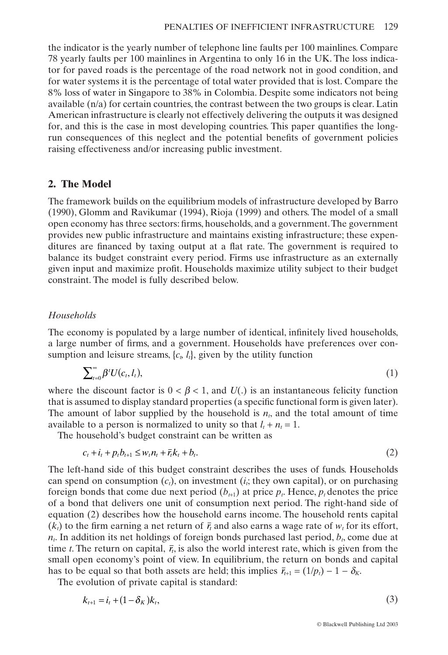the indicator is the yearly number of telephone line faults per 100 mainlines. Compare 78 yearly faults per 100 mainlines in Argentina to only 16 in the UK. The loss indicator for paved roads is the percentage of the road network not in good condition, and for water systems it is the percentage of total water provided that is lost. Compare the 8% loss of water in Singapore to 38% in Colombia. Despite some indicators not being available  $(n/a)$  for certain countries, the contrast between the two groups is clear. Latin American infrastructure is clearly not effectively delivering the outputs it was designed for, and this is the case in most developing countries. This paper quantifies the longrun consequences of this neglect and the potential benefits of government policies raising effectiveness and/or increasing public investment.

# **2. The Model**

The framework builds on the equilibrium models of infrastructure developed by Barro (1990), Glomm and Ravikumar (1994), Rioja (1999) and others. The model of a small open economy has three sectors: firms, households, and a government.The government provides new public infrastructure and maintains existing infrastructure; these expenditures are financed by taxing output at a flat rate. The government is required to balance its budget constraint every period. Firms use infrastructure as an externally given input and maximize profit. Households maximize utility subject to their budget constraint. The model is fully described below.

## *Households*

The economy is populated by a large number of identical, infinitely lived households, a large number of firms, and a government. Households have preferences over consumption and leisure streams,  $\{c_i, l_i\}$ , given by the utility function

$$
\sum_{t=0}^{\infty} \beta^t U(c_t, l_t), \tag{1}
$$

where the discount factor is  $0 < \beta < 1$ , and  $U(.)$  is an instantaneous felicity function that is assumed to display standard properties (a specific functional form is given later). The amount of labor supplied by the household is  $n<sub>i</sub>$ , and the total amount of time available to a person is normalized to unity so that  $l_t + n_t = 1$ .

The household's budget constraint can be written as

$$
c_t + i_t + p_t b_{t+1} \leq w_t n_t + \overline{r}_t k_t + b_t. \tag{2}
$$

The left-hand side of this budget constraint describes the uses of funds. Households can spend on consumption  $(c_i)$ , on investment  $(i_i)$ ; they own capital), or on purchasing foreign bonds that come due next period  $(b_{t+1})$  at price  $p_t$ . Hence,  $p_t$  denotes the price of a bond that delivers one unit of consumption next period. The right-hand side of equation (2) describes how the household earns income. The household rents capital  $(k<sub>i</sub>)$  to the firm earning a net return of  $\bar{r}<sub>i</sub>$  and also earns a wage rate of  $w<sub>i</sub>$  for its effort,  $n_t$ . In addition its net holdings of foreign bonds purchased last period,  $b_t$ , come due at time *t*. The return on capital,  $\bar{r}_t$ , is also the world interest rate, which is given from the small open economy's point of view. In equilibrium, the return on bonds and capital has to be equal so that both assets are held; this implies  $\bar{r}_{t+1} = (1/p_t) - 1 - \delta_K$ .

The evolution of private capital is standard:

$$
k_{t+1} = i_t + (1 - \delta_K)k_t,
$$
\n(3)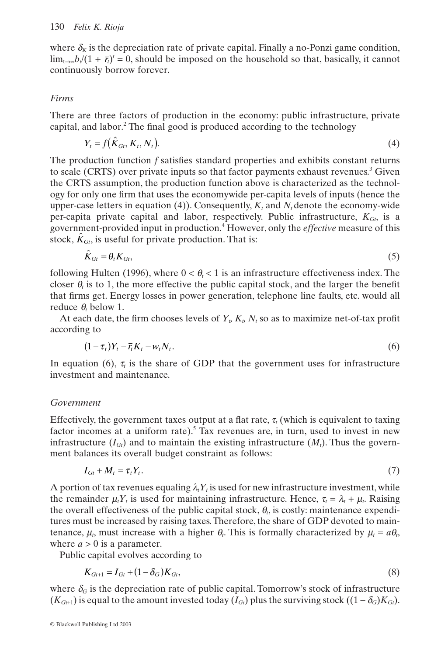where  $\delta_k$  is the depreciation rate of private capital. Finally a no-Ponzi game condition,  $\lim_{t\to\infty}b_t/(1 + \bar{r}_t)^t = 0$ , should be imposed on the household so that, basically, it cannot continuously borrow forever.

# *Firms*

There are three factors of production in the economy: public infrastructure, private capital, and labor.<sup>2</sup> The final good is produced according to the technology

$$
Y_t = f(\hat{K}_{Gi}, K_t, N_t). \tag{4}
$$

The production function *f* satisfies standard properties and exhibits constant returns to scale (CRTS) over private inputs so that factor payments exhaust revenues.3 Given the CRTS assumption, the production function above is characterized as the technology for only one firm that uses the economywide per-capita levels of inputs (hence the upper-case letters in equation (4)). Consequently,  $K_t$  and  $N_t$  denote the economy-wide per-capita private capital and labor, respectively. Public infrastructure,  $K_{G}$ , is a government-provided input in production.4 However, only the *effective* measure of this stock,  $\hat{K}_{Gt}$ , is useful for private production. That is:

$$
\hat{K}_{Gi} = \theta_t K_{Gi},\tag{5}
$$

following Hulten (1996), where  $0 < \theta_{\text{r}} < 1$  is an infrastructure effectiveness index. The closer  $\theta$ , is to 1, the more effective the public capital stock, and the larger the benefit that firms get. Energy losses in power generation, telephone line faults, etc. would all reduce  $\theta$  below 1.

At each date, the firm chooses levels of  $Y_t$ ,  $K_t$ ,  $N_t$  so as to maximize net-of-tax profit according to

$$
(1 - \tau_t)Y_t - \bar{r}_t K_t - w_t N_t. \tag{6}
$$

In equation (6),  $\tau_t$  is the share of GDP that the government uses for infrastructure investment and maintenance.

# *Government*

Effectively, the government taxes output at a flat rate,  $\tau_t$  (which is equivalent to taxing factor incomes at a uniform rate).<sup>5</sup> Tax revenues are, in turn, used to invest in new infrastructure  $(I_G)$  and to maintain the existing infrastructure  $(M_t)$ . Thus the government balances its overall budget constraint as follows:

$$
I_{Gt} + M_t = \tau_t Y_t. \tag{7}
$$

A portion of tax revenues equaling  $\lambda_i Y_t$  is used for new infrastructure investment, while the remainder  $\mu_t Y_t$  is used for maintaining infrastructure. Hence,  $\tau_t = \lambda_t + \mu_t$ . Raising the overall effectiveness of the public capital stock,  $\theta$ <sub>i</sub>, is costly: maintenance expenditures must be increased by raising taxes.Therefore, the share of GDP devoted to maintenance,  $\mu_t$ , must increase with a higher  $\theta_t$ . This is formally characterized by  $\mu_t = a\theta_t$ , where  $a > 0$  is a parameter.

Public capital evolves according to

$$
K_{Gt+1} = I_{Gt} + (1 - \delta_G)K_{Gt},\tag{8}
$$

where  $\delta_G$  is the depreciation rate of public capital. Tomorrow's stock of infrastructure  $(K_{Gt+1})$  is equal to the amount invested today  $(I_G)$  plus the surviving stock  $((1 - \delta_G)K_{Gt})$ .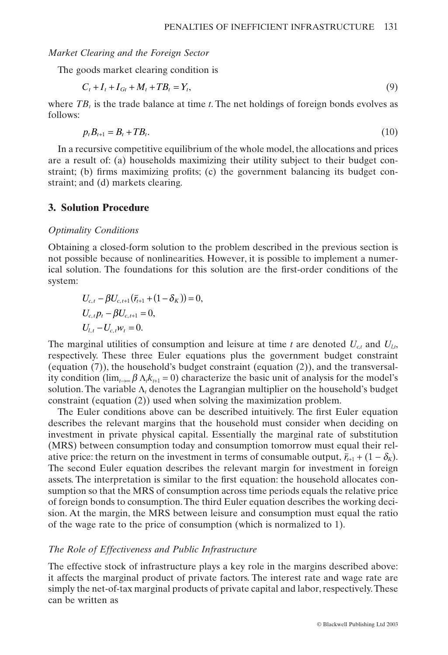#### *Market Clearing and the Foreign Sector*

The goods market clearing condition is

$$
C_t + I_t + I_{Gt} + M_t + TB_t = Y_t,
$$
\n(9)

where  $TB_t$  is the trade balance at time *t*. The net holdings of foreign bonds evolves as follows:

$$
p_t B_{t+1} = B_t + T B_t. \tag{10}
$$

In a recursive competitive equilibrium of the whole model, the allocations and prices are a result of: (a) households maximizing their utility subject to their budget constraint; (b) firms maximizing profits; (c) the government balancing its budget constraint; and (d) markets clearing.

#### **3. Solution Procedure**

#### *Optimality Conditions*

Obtaining a closed-form solution to the problem described in the previous section is not possible because of nonlinearities. However, it is possible to implement a numerical solution. The foundations for this solution are the first-order conditions of the system:

$$
U_{c,t} - \beta U_{c,t+1} (\bar{r}_{t+1} + (1 - \delta_K)) = 0,
$$
  
\n
$$
U_{c,t} p_t - \beta U_{c,t+1} = 0,
$$
  
\n
$$
U_{l,t} - U_{c,t} w_t = 0.
$$

The marginal utilities of consumption and leisure at time *t* are denoted  $U_{ct}$  and  $U_{tx}$ respectively. These three Euler equations plus the government budget constraint (equation (7)), the household's budget constraint (equation (2)), and the transversality condition ( $\lim_{k\to\infty} \beta \Lambda_k k_{t+1} = 0$ ) characterize the basic unit of analysis for the model's solution. The variable  $\Lambda_t$  denotes the Lagrangian multiplier on the household's budget constraint (equation (2)) used when solving the maximization problem.

The Euler conditions above can be described intuitively. The first Euler equation describes the relevant margins that the household must consider when deciding on investment in private physical capital. Essentially the marginal rate of substitution (MRS) between consumption today and consumption tomorrow must equal their relative price: the return on the investment in terms of consumable output,  $\bar{r}_{t+1} + (1 - \delta_K)$ . The second Euler equation describes the relevant margin for investment in foreign assets. The interpretation is similar to the first equation: the household allocates consumption so that the MRS of consumption across time periods equals the relative price of foreign bonds to consumption. The third Euler equation describes the working decision. At the margin, the MRS between leisure and consumption must equal the ratio of the wage rate to the price of consumption (which is normalized to 1).

#### *The Role of Effectiveness and Public Infrastructure*

The effective stock of infrastructure plays a key role in the margins described above: it affects the marginal product of private factors. The interest rate and wage rate are simply the net-of-tax marginal products of private capital and labor, respectively.These can be written as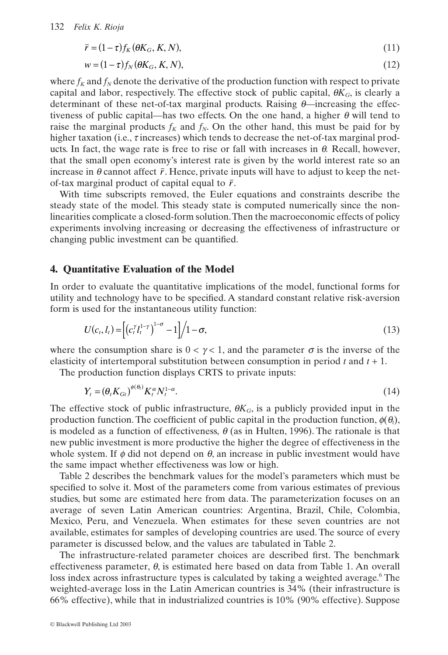$$
\bar{r} = (1 - \tau) f_K(\theta K_G, K, N),\tag{11}
$$

$$
w = (1 - \tau) f_N(\theta K_G, K, N), \tag{12}
$$

where  $f_K$  and  $f_N$  denote the derivative of the production function with respect to private capital and labor, respectively. The effective stock of public capital,  $\theta K_G$ , is clearly a determinant of these net-of-tax marginal products. Raising  $\theta$ —increasing the effectiveness of public capital—has two effects. On the one hand, a higher  $\theta$  will tend to raise the marginal products  $f_K$  and  $f_N$ . On the other hand, this must be paid for by higher taxation (i.e.,  $\tau$  increases) which tends to decrease the net-of-tax marginal products. In fact, the wage rate is free to rise or fall with increases in  $\theta$ . Recall, however, that the small open economy's interest rate is given by the world interest rate so an increase in  $\theta$  cannot affect  $\bar{r}$ . Hence, private inputs will have to adjust to keep the netof-tax marginal product of capital equal to  $\bar{r}$ .

With time subscripts removed, the Euler equations and constraints describe the steady state of the model. This steady state is computed numerically since the nonlinearities complicate a closed-form solution.Then the macroeconomic effects of policy experiments involving increasing or decreasing the effectiveness of infrastructure or changing public investment can be quantified.

## **4. Quantitative Evaluation of the Model**

In order to evaluate the quantitative implications of the model, functional forms for utility and technology have to be specified. A standard constant relative risk-aversion form is used for the instantaneous utility function:

$$
U(c_t, l_t) = \left[ \left( c_t^{\gamma} l_t^{1-\gamma} \right)^{1-\sigma} - 1 \right] \middle/ 1 - \sigma,
$$
\n(13)

where the consumption share is  $0 < \gamma < 1$ , and the parameter  $\sigma$  is the inverse of the elasticity of intertemporal substitution between consumption in period *t* and *t* + 1.

The production function displays CRTS to private inputs:

$$
Y_t = \left(\theta_t K_{Gt}\right)^{\phi(\theta_t)} K_t^{\alpha} N_t^{1-\alpha}.\tag{14}
$$

The effective stock of public infrastructure,  $\theta K_G$ , is a publicly provided input in the production function. The coefficient of public capital in the production function,  $\phi(\theta_i)$ , is modeled as a function of effectiveness,  $\theta$  (as in Hulten, 1996). The rationale is that new public investment is more productive the higher the degree of effectiveness in the whole system. If  $\phi$  did not depend on  $\theta$ , an increase in public investment would have the same impact whether effectiveness was low or high.

Table 2 describes the benchmark values for the model's parameters which must be specified to solve it. Most of the parameters come from various estimates of previous studies, but some are estimated here from data. The parameterization focuses on an average of seven Latin American countries: Argentina, Brazil, Chile, Colombia, Mexico, Peru, and Venezuela. When estimates for these seven countries are not available, estimates for samples of developing countries are used. The source of every parameter is discussed below, and the values are tabulated in Table 2.

The infrastructure-related parameter choices are described first. The benchmark effectiveness parameter,  $\theta$ , is estimated here based on data from Table 1. An overall loss index across infrastructure types is calculated by taking a weighted average.<sup>6</sup> The weighted-average loss in the Latin American countries is 34% (their infrastructure is 66% effective), while that in industrialized countries is 10% (90% effective). Suppose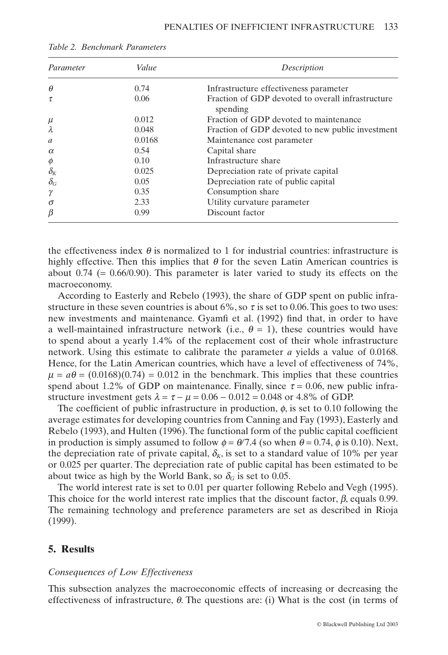| Parameter                        | Value  | Description                                                   |  |  |
|----------------------------------|--------|---------------------------------------------------------------|--|--|
| $\theta$                         | 0.74   | Infrastructure effectiveness parameter                        |  |  |
| τ                                | 0.06   | Fraction of GDP devoted to overall infrastructure<br>spending |  |  |
| $\mu$                            | 0.012  | Fraction of GDP devoted to maintenance                        |  |  |
| λ                                | 0.048  | Fraction of GDP devoted to new public investment              |  |  |
| $\mathfrak a$                    | 0.0168 | Maintenance cost parameter                                    |  |  |
| $\alpha$                         | 0.54   | Capital share                                                 |  |  |
| $\phi$                           | 0.10   | Infrastructure share                                          |  |  |
| $\delta_{\scriptscriptstyle{K}}$ | 0.025  | Depreciation rate of private capital                          |  |  |
| $\delta_G$                       | 0.05   | Depreciation rate of public capital                           |  |  |
| γ                                | 0.35   | Consumption share                                             |  |  |
| $\sigma$                         | 2.33   | Utility curvature parameter                                   |  |  |
| $\beta$                          | 0.99   | Discount factor                                               |  |  |

|  | Table 2. Benchmark Parameters |  |
|--|-------------------------------|--|
|--|-------------------------------|--|

the effectiveness index  $\theta$  is normalized to 1 for industrial countries: infrastructure is highly effective. Then this implies that  $\theta$  for the seven Latin American countries is about 0.74 ( $= 0.66/0.90$ ). This parameter is later varied to study its effects on the macroeconomy.

According to Easterly and Rebelo (1993), the share of GDP spent on public infrastructure in these seven countries is about  $6\%$ , so  $\tau$  is set to 0.06. This goes to two uses: new investments and maintenance. Gyamfi et al. (1992) find that, in order to have a well-maintained infrastructure network (i.e.,  $\theta = 1$ ), these countries would have to spend about a yearly 1.4% of the replacement cost of their whole infrastructure network. Using this estimate to calibrate the parameter *a* yields a value of 0.0168. Hence, for the Latin American countries, which have a level of effectiveness of 74%,  $\mu = a\theta = (0.0168)(0.74) = 0.012$  in the benchmark. This implies that these countries spend about 1.2% of GDP on maintenance. Finally, since  $\tau = 0.06$ , new public infrastructure investment gets  $\lambda = \tau - \mu = 0.06 - 0.012 = 0.048$  or 4.8% of GDP.

The coefficient of public infrastructure in production,  $\phi$ , is set to 0.10 following the average estimates for developing countries from Canning and Fay (1993), Easterly and Rebelo (1993), and Hulten (1996). The functional form of the public capital coefficient in production is simply assumed to follow  $\phi = \theta/7.4$  (so when  $\theta = 0.74$ ,  $\phi$  is 0.10). Next, the depreciation rate of private capital,  $\delta_K$ , is set to a standard value of 10% per year or 0.025 per quarter. The depreciation rate of public capital has been estimated to be about twice as high by the World Bank, so  $\delta_G$  is set to 0.05.

The world interest rate is set to 0.01 per quarter following Rebelo and Vegh (1995). This choice for the world interest rate implies that the discount factor,  $\beta$ , equals 0.99. The remaining technology and preference parameters are set as described in Rioja (1999).

# **5. Results**

#### *Consequences of Low Effectiveness*

This subsection analyzes the macroeconomic effects of increasing or decreasing the effectiveness of infrastructure,  $\theta$ . The questions are: (i) What is the cost (in terms of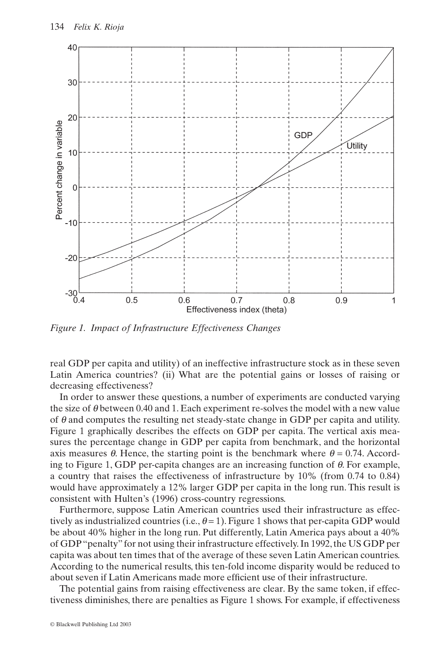

*Figure 1. Impact of Infrastructure Effectiveness Changes*

real GDP per capita and utility) of an ineffective infrastructure stock as in these seven Latin America countries? (ii) What are the potential gains or losses of raising or decreasing effectiveness?

In order to answer these questions, a number of experiments are conducted varying the size of  $\theta$  between 0.40 and 1. Each experiment re-solves the model with a new value of  $\theta$  and computes the resulting net steady-state change in GDP per capita and utility. Figure 1 graphically describes the effects on GDP per capita. The vertical axis measures the percentage change in GDP per capita from benchmark, and the horizontal axis measures  $\theta$ . Hence, the starting point is the benchmark where  $\theta = 0.74$ . According to Figure 1, GDP per-capita changes are an increasing function of  $\theta$ . For example, a country that raises the effectiveness of infrastructure by 10% (from 0.74 to 0.84) would have approximately a 12% larger GDP per capita in the long run. This result is consistent with Hulten's (1996) cross-country regressions.

Furthermore, suppose Latin American countries used their infrastructure as effectively as industrialized countries (i.e.,  $\theta = 1$ ). Figure 1 shows that per-capita GDP would be about 40% higher in the long run. Put differently, Latin America pays about a 40% of GDP "penalty" for not using their infrastructure effectively. In 1992, the US GDP per capita was about ten times that of the average of these seven Latin American countries. According to the numerical results, this ten-fold income disparity would be reduced to about seven if Latin Americans made more efficient use of their infrastructure.

The potential gains from raising effectiveness are clear. By the same token, if effectiveness diminishes, there are penalties as Figure 1 shows. For example, if effectiveness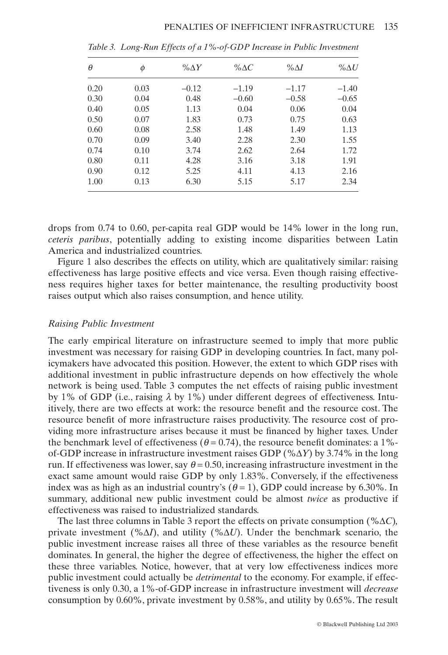| $\theta$ | φ    | $\% \Delta Y$ | % $\Delta C$ | $\% \Delta I$ | $\% \Delta U$ |
|----------|------|---------------|--------------|---------------|---------------|
| 0.20     | 0.03 | $-0.12$       | $-1.19$      | $-1.17$       | $-1.40$       |
| 0.30     | 0.04 | 0.48          | $-0.60$      | $-0.58$       | $-0.65$       |
| 0.40     | 0.05 | 1.13          | 0.04         | 0.06          | 0.04          |
| 0.50     | 0.07 | 1.83          | 0.73         | 0.75          | 0.63          |
| 0.60     | 0.08 | 2.58          | 1.48         | 1.49          | 1.13          |
| 0.70     | 0.09 | 3.40          | 2.28         | 2.30          | 1.55          |
| 0.74     | 0.10 | 3.74          | 2.62         | 2.64          | 1.72          |
| 0.80     | 0.11 | 4.28          | 3.16         | 3.18          | 1.91          |
| 0.90     | 0.12 | 5.25          | 4.11         | 4.13          | 2.16          |
| 1.00     | 0.13 | 6.30          | 5.15         | 5.17          | 2.34          |

*Table 3. Long-Run Effects of a 1%-of-GDP Increase in Public Investment*

drops from 0.74 to 0.60, per-capita real GDP would be 14% lower in the long run, *ceteris paribus*, potentially adding to existing income disparities between Latin America and industrialized countries.

Figure 1 also describes the effects on utility, which are qualitatively similar: raising effectiveness has large positive effects and vice versa. Even though raising effectiveness requires higher taxes for better maintenance, the resulting productivity boost raises output which also raises consumption, and hence utility.

#### *Raising Public Investment*

The early empirical literature on infrastructure seemed to imply that more public investment was necessary for raising GDP in developing countries. In fact, many policymakers have advocated this position. However, the extent to which GDP rises with additional investment in public infrastructure depends on how effectively the whole network is being used. Table 3 computes the net effects of raising public investment by 1% of GDP (i.e., raising  $\lambda$  by 1%) under different degrees of effectiveness. Intuitively, there are two effects at work: the resource benefit and the resource cost. The resource benefit of more infrastructure raises productivity. The resource cost of providing more infrastructure arises because it must be financed by higher taxes. Under the benchmark level of effectiveness ( $\theta$  = 0.74), the resource benefit dominates: a 1%of-GDP increase in infrastructure investment raises GDP ( $\% \Delta Y$ ) by 3.74% in the long run. If effectiveness was lower, say  $\theta = 0.50$ , increasing infrastructure investment in the exact same amount would raise GDP by only 1.83%. Conversely, if the effectiveness index was as high as an industrial country's  $(\theta = 1)$ , GDP could increase by 6.30%. In summary, additional new public investment could be almost *twice* as productive if effectiveness was raised to industrialized standards.

The last three columns in Table 3 report the effects on private consumption ( $\% \Delta C$ )*,* private investment  $(\% \Delta I)$ , and utility  $(\% \Delta U)$ . Under the benchmark scenario, the public investment increase raises all three of these variables as the resource benefit dominates. In general, the higher the degree of effectiveness, the higher the effect on these three variables. Notice, however, that at very low effectiveness indices more public investment could actually be *detrimental* to the economy. For example, if effectiveness is only 0.30, a 1%-of-GDP increase in infrastructure investment will *decrease* consumption by 0.60%, private investment by 0.58%, and utility by 0.65%. The result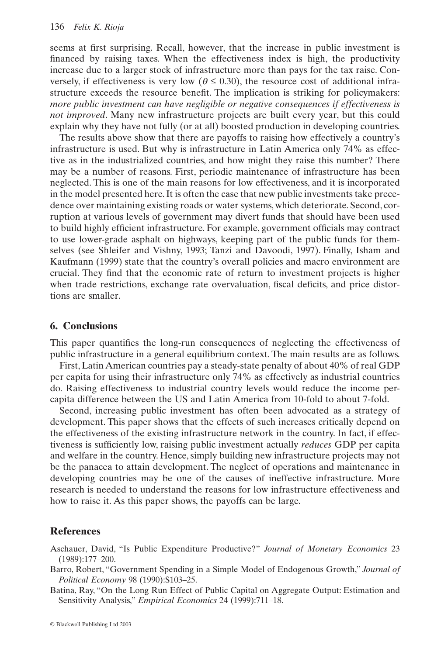seems at first surprising. Recall, however, that the increase in public investment is financed by raising taxes. When the effectiveness index is high, the productivity increase due to a larger stock of infrastructure more than pays for the tax raise. Conversely, if effectiveness is very low ( $\theta \le 0.30$ ), the resource cost of additional infrastructure exceeds the resource benefit. The implication is striking for policymakers: *more public investment can have negligible or negative consequences if effectiveness is not improved*. Many new infrastructure projects are built every year, but this could explain why they have not fully (or at all) boosted production in developing countries.

The results above show that there are payoffs to raising how effectively a country's infrastructure is used. But why is infrastructure in Latin America only 74% as effective as in the industrialized countries, and how might they raise this number? There may be a number of reasons. First, periodic maintenance of infrastructure has been neglected. This is one of the main reasons for low effectiveness, and it is incorporated in the model presented here. It is often the case that new public investments take precedence over maintaining existing roads or water systems, which deteriorate. Second, corruption at various levels of government may divert funds that should have been used to build highly efficient infrastructure. For example, government officials may contract to use lower-grade asphalt on highways, keeping part of the public funds for themselves (see Shleifer and Vishny, 1993; Tanzi and Davoodi, 1997). Finally, Isham and Kaufmann (1999) state that the country's overall policies and macro environment are crucial. They find that the economic rate of return to investment projects is higher when trade restrictions, exchange rate overvaluation, fiscal deficits, and price distortions are smaller.

#### **6. Conclusions**

This paper quantifies the long-run consequences of neglecting the effectiveness of public infrastructure in a general equilibrium context. The main results are as follows.

First, Latin American countries pay a steady-state penalty of about 40% of real GDP per capita for using their infrastructure only 74% as effectively as industrial countries do. Raising effectiveness to industrial country levels would reduce the income percapita difference between the US and Latin America from 10-fold to about 7-fold.

Second, increasing public investment has often been advocated as a strategy of development. This paper shows that the effects of such increases critically depend on the effectiveness of the existing infrastructure network in the country. In fact, if effectiveness is sufficiently low, raising public investment actually *reduces* GDP per capita and welfare in the country. Hence, simply building new infrastructure projects may not be the panacea to attain development. The neglect of operations and maintenance in developing countries may be one of the causes of ineffective infrastructure. More research is needed to understand the reasons for low infrastructure effectiveness and how to raise it. As this paper shows, the payoffs can be large.

# **References**

- Aschauer, David, "Is Public Expenditure Productive?" *Journal of Monetary Economics* 23 (1989):177–200.
- Barro, Robert, "Government Spending in a Simple Model of Endogenous Growth," *Journal of Political Economy* 98 (1990):S103–25.
- Batina, Ray, "On the Long Run Effect of Public Capital on Aggregate Output: Estimation and Sensitivity Analysis," *Empirical Economics* 24 (1999):711–18.